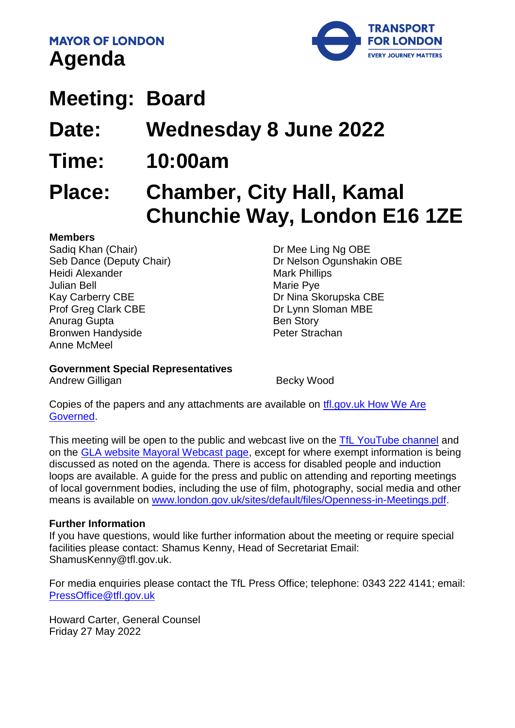**MAYOR OF LONDON Agenda** 



# **Meeting: Board**

**Date: Wednesday 8 June 2022**

**Time: 10:00am**

# **Place: Chamber, City Hall, Kamal Chunchie Way, London E16 1ZE**

#### **Members**

Sadiq Khan (Chair) Seb Dance (Deputy Chair) Heidi Alexander Julian Bell Kay Carberry CBE Prof Greg Clark CBE Anurag Gupta Bronwen Handyside Anne McMeel

Dr Mee Ling Ng OBE Dr Nelson Ogunshakin OBE Mark Phillips Marie Pye Dr Nina Skorupska CBE Dr Lynn Sloman MBE Ben Story Peter Strachan

**Government Special Representatives**

Andrew Gilligan **Becky Wood** 

Copies of the papers and any attachments are available on [tfl.gov.uk How We](http://www.tfl.gov.uk/corporate/about-tfl/how-we-work/how-we-are-governed) Are [Governed.](http://www.tfl.gov.uk/corporate/about-tfl/how-we-work/how-we-are-governed)

This meeting will be open to the public and webcast live on the [TfL YouTube channel](https://www.youtube.com/watch?v=_2U9viPQ9WE&list=PLtnlusA0Zoggk4qvN68OcnD9k_7B8cY_d) and on the [GLA website Mayoral Webcast page,](https://www.london.gov.uk/about-us/mayor-london/mayoral-webcasts) except for where exempt information is being discussed as noted on the agenda. There is access for disabled people and induction loops are available. A guide for the press and public on attending and reporting meetings of local government bodies, including the use of film, photography, social media and other means is available on [www.london.gov.uk/sites/default/files/Openness-in-Meetings.pdf.](http://www.london.gov.uk/sites/default/files/Openness-in-Meetings.pdf)

#### **Further Information**

If you have questions, would like further information about the meeting or require special facilities please contact: Shamus Kenny, Head of Secretariat Email: ShamusKenny@tfl.gov.uk.

For media enquiries please contact the TfL Press Office; telephone: 0343 222 4141; email: [PressOffice@tfl.gov.uk](mailto:PressOffice@tfl.gov.uk)

Howard Carter, General Counsel Friday 27 May 2022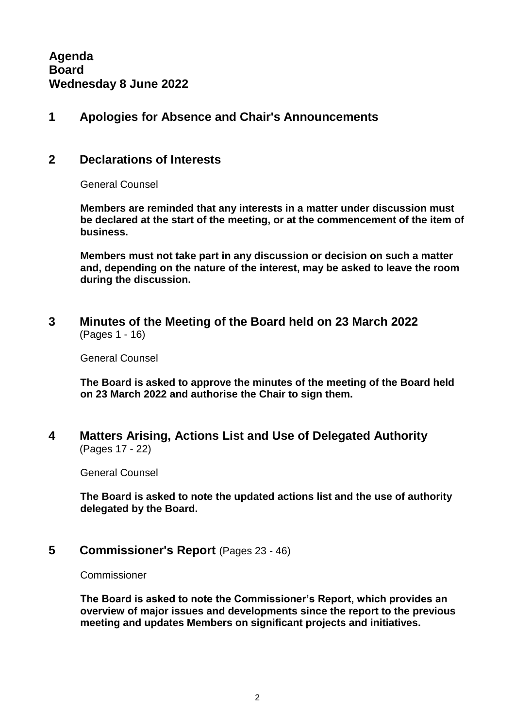**Agenda Board Wednesday 8 June 2022**

#### **1 Apologies for Absence and Chair's Announcements**

#### **2 Declarations of Interests**

General Counsel

**Members are reminded that any interests in a matter under discussion must be declared at the start of the meeting, or at the commencement of the item of business.** 

**Members must not take part in any discussion or decision on such a matter and, depending on the nature of the interest, may be asked to leave the room during the discussion.**

**3 Minutes of the Meeting of the Board held on 23 March 2022** (Pages 1 - 16)

General Counsel

**The Board is asked to approve the minutes of the meeting of the Board held on 23 March 2022 and authorise the Chair to sign them.**

**4 Matters Arising, Actions List and Use of Delegated Authority** (Pages 17 - 22)

General Counsel

**The Board is asked to note the updated actions list and the use of authority delegated by the Board.**

**5 Commissioner's Report** (Pages 23 - 46)

Commissioner

**The Board is asked to note the Commissioner's Report, which provides an overview of major issues and developments since the report to the previous meeting and updates Members on significant projects and initiatives.**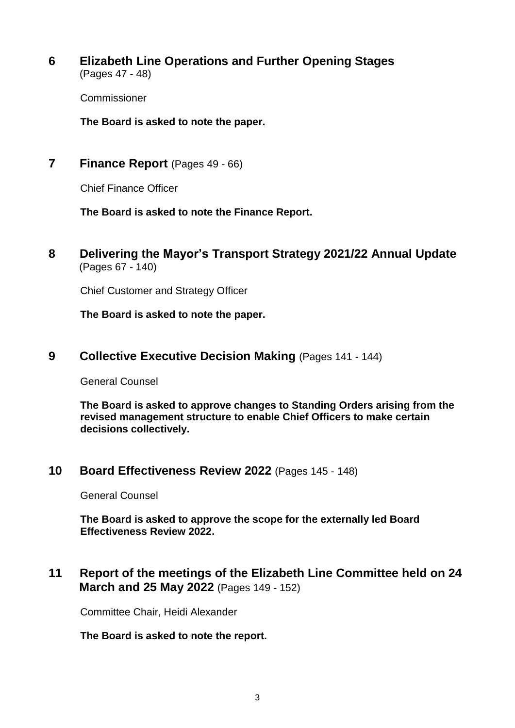**6 Elizabeth Line Operations and Further Opening Stages** (Pages 47 - 48)

Commissioner

**The Board is asked to note the paper.**

**7 Finance Report** (Pages 49 - 66)

Chief Finance Officer

**The Board is asked to note the Finance Report.**

**8 Delivering the Mayor's Transport Strategy 2021/22 Annual Update** (Pages 67 - 140)

Chief Customer and Strategy Officer

**The Board is asked to note the paper.**

**9 Collective Executive Decision Making** (Pages 141 - 144)

General Counsel

**The Board is asked to approve changes to Standing Orders arising from the revised management structure to enable Chief Officers to make certain decisions collectively.**

**10 Board Effectiveness Review 2022** (Pages 145 - 148)

General Counsel

**The Board is asked to approve the scope for the externally led Board Effectiveness Review 2022.**

**11 Report of the meetings of the Elizabeth Line Committee held on 24 March and 25 May 2022** (Pages 149 - 152)

Committee Chair, Heidi Alexander

**The Board is asked to note the report.**